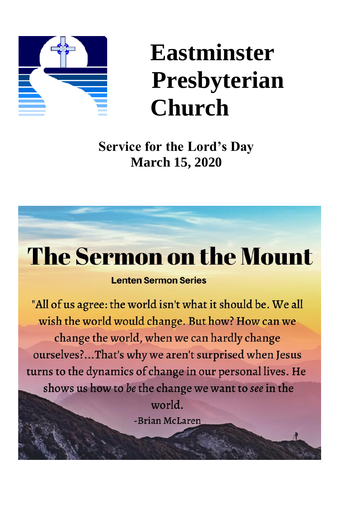

# **Eastminster Presbyterian Church**

**Service for the Lord's Day March 15, 2020**

# **The Sermon on the Mount**

#### **Lenten Sermon Series**

"All of us agree: the world isn't what it should be. We all wish the world would change. But how? How can we change the world, when we can hardly change ourselves?...That's why we aren't surprised when Jesus turns to the dynamics of change in our personal lives. He shows us how to be the change we want to see in the world. -Brian McLaren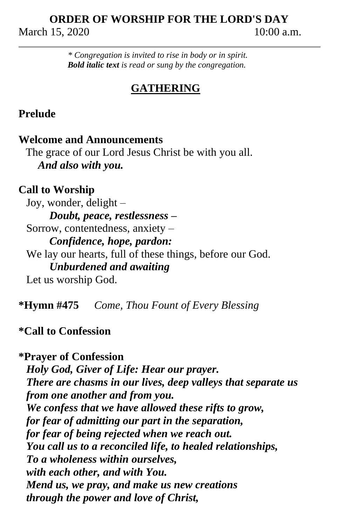# **ORDER OF WORSHIP FOR THE LORD'S DAY** March 15, 2020 10:00 a.m.

*\* Congregation is invited to rise in body or in spirit. Bold italic text is read or sung by the congregation.*

# **GATHERING**

### **Prelude**

#### **Welcome and Announcements**

 The grace of our Lord Jesus Christ be with you all. *And also with you.*

### **Call to Worship**

Joy, wonder, delight – *Doubt, peace, restlessness –* Sorrow, contentedness, anxiety – *Confidence, hope, pardon:* We lay our hearts, full of these things, before our God. *Unburdened and awaiting* Let us worship God.

**\*Hymn #475** *Come, Thou Fount of Every Blessing*

# **\*Call to Confession**

**\*Prayer of Confession** *Holy God, Giver of Life: Hear our prayer. There are chasms in our lives, deep valleys that separate us from one another and from you. We confess that we have allowed these rifts to grow, for fear of admitting our part in the separation, for fear of being rejected when we reach out. You call us to a reconciled life, to healed relationships, To a wholeness within ourselves, with each other, and with You. Mend us, we pray, and make us new creations through the power and love of Christ,*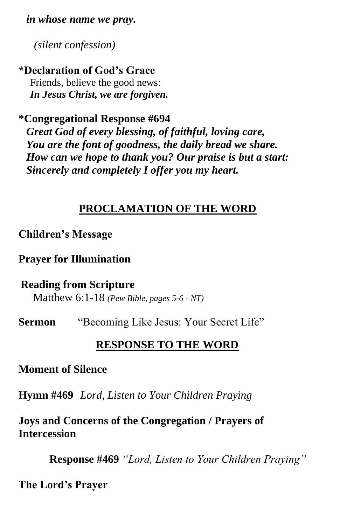*in whose name we pray.*

*(silent confession)*

# **\*Declaration of God's Grace**

Friends, believe the good news: *In Jesus Christ, we are forgiven.*

### **\*Congregational Response #694**

*Great God of every blessing, of faithful, loving care, You are the font of goodness, the daily bread we share. How can we hope to thank you? Our praise is but a start: Sincerely and completely I offer you my heart.*

# **PROCLAMATION OF THE WORD**

### **Children's Message**

**Prayer for Illumination**

#### **Reading from Scripture**

Matthew 6:1-18 *(Pew Bible, pages 5-6 - NT)*

**Sermon** "Becoming Like Jesus: Your Secret Life"

### **RESPONSE TO THE WORD**

#### **Moment of Silence**

**Hymn #469** *Lord, Listen to Your Children Praying* 

**Joys and Concerns of the Congregation / Prayers of Intercession** 

**Response #469** *"Lord, Listen to Your Children Praying"*

**The Lord's Prayer**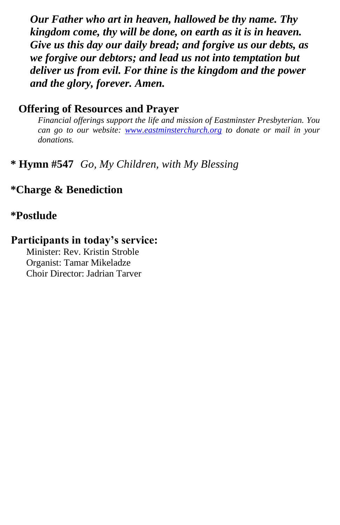*Our Father who art in heaven, hallowed be thy name. Thy kingdom come, thy will be done, on earth as it is in heaven. Give us this day our daily bread; and forgive us our debts, as we forgive our debtors; and lead us not into temptation but deliver us from evil. For thine is the kingdom and the power and the glory, forever. Amen.*

#### **Offering of Resources and Prayer**

*Financial offerings support the life and mission of Eastminster Presbyterian. You can go to our website: [www.eastminsterchurch.org](http://www.eastminsterchurch.org/) to donate or mail in your donations.*

### **\* Hymn #547** *Go, My Children, with My Blessing*

#### **\*Charge & Benediction**

#### **\*Postlude**

### **Participants in today's service:**

Minister: Rev. Kristin Stroble Organist: Tamar Mikeladze Choir Director: Jadrian Tarver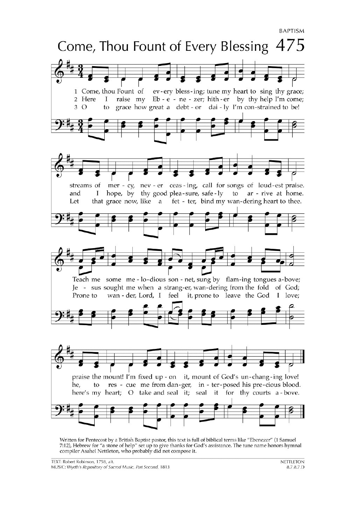```
BAPTISM
```


Written for Pentecost by a British Baptist pastor, this text is full of biblical terms like "Ebenezer" (1 Samuel 7:12), Hebrew for "a stone of help" set up to give thanks for God's assistance. The tune name honors hymnal compiler Asahel Nettleton, who probably did not compose it.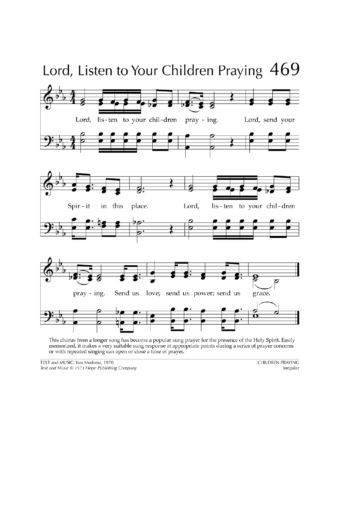

This chorus from a longer song has become a popular sung prayer for the presence of the Holy Spirit. Easily memorized, it makes a very suitable sung response at appropriate points during a series of prayer concerns or with repeated singing can open or close a time of prayer.

TEXT and MUSIC: Ken Medema, 1970 Text and Music © 1973 Hope Publishing Company **CHILDREN PRAYING** Irregular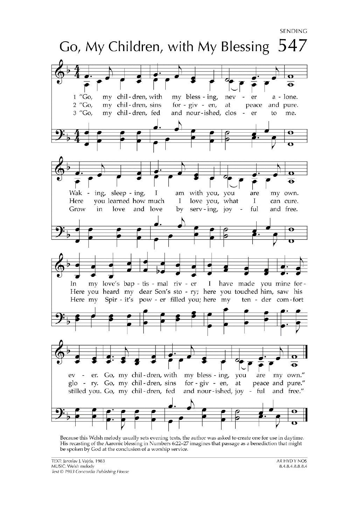```
SENDING
```


Because this Welsh melody usually sets evening texts, the author was asked to create one for use in daytime. His recasting of the Aaronic blessing in Numbers 6:22-27 imagines that passage as a benediction that might be spoken by God at the conclusion of a worship service.

AR HYD Y NOS 8.4.8.4.8.8.8.4